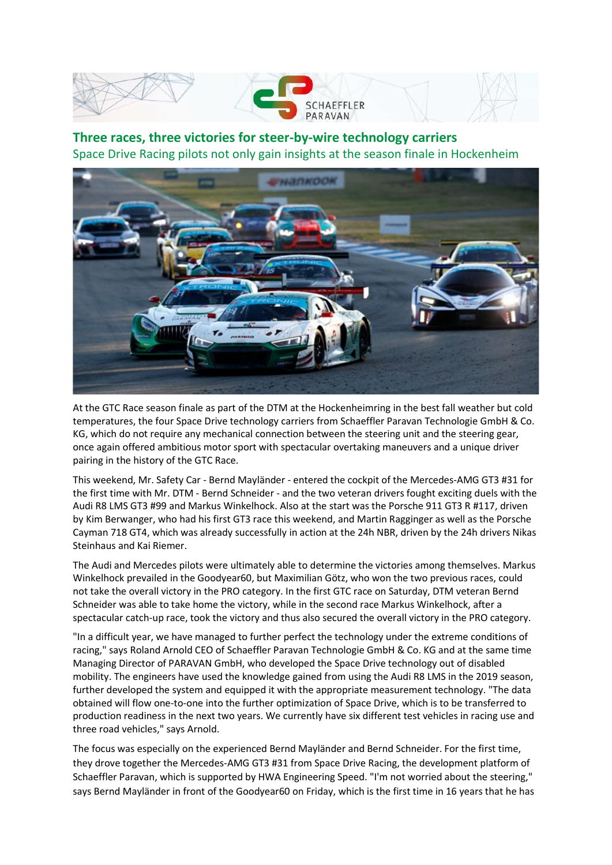



**Three races, three victories for steer-by-wire technology carriers** Space Drive Racing pilots not only gain insights at the season finale in Hockenheim



At the GTC Race season finale as part of the DTM at the Hockenheimring in the best fall weather but cold temperatures, the four Space Drive technology carriers from Schaeffler Paravan Technologie GmbH & Co. KG, which do not require any mechanical connection between the steering unit and the steering gear, once again offered ambitious motor sport with spectacular overtaking maneuvers and a unique driver pairing in the history of the GTC Race.

This weekend, Mr. Safety Car - Bernd Mayländer - entered the cockpit of the Mercedes-AMG GT3 #31 for the first time with Mr. DTM - Bernd Schneider - and the two veteran drivers fought exciting duels with the Audi R8 LMS GT3 #99 and Markus Winkelhock. Also at the start was the Porsche 911 GT3 R #117, driven by Kim Berwanger, who had his first GT3 race this weekend, and Martin Ragginger as well as the Porsche Cayman 718 GT4, which was already successfully in action at the 24h NBR, driven by the 24h drivers Nikas Steinhaus and Kai Riemer.

The Audi and Mercedes pilots were ultimately able to determine the victories among themselves. Markus Winkelhock prevailed in the Goodyear60, but Maximilian Götz, who won the two previous races, could not take the overall victory in the PRO category. In the first GTC race on Saturday, DTM veteran Bernd Schneider was able to take home the victory, while in the second race Markus Winkelhock, after a spectacular catch-up race, took the victory and thus also secured the overall victory in the PRO category.

"In a difficult year, we have managed to further perfect the technology under the extreme conditions of racing," says Roland Arnold CEO of Schaeffler Paravan Technologie GmbH & Co. KG and at the same time Managing Director of PARAVAN GmbH, who developed the Space Drive technology out of disabled mobility. The engineers have used the knowledge gained from using the Audi R8 LMS in the 2019 season, further developed the system and equipped it with the appropriate measurement technology. "The data obtained will flow one-to-one into the further optimization of Space Drive, which is to be transferred to production readiness in the next two years. We currently have six different test vehicles in racing use and three road vehicles," says Arnold.

The focus was especially on the experienced Bernd Mayländer and Bernd Schneider. For the first time, they drove together the Mercedes-AMG GT3 #31 from Space Drive Racing, the development platform of Schaeffler Paravan, which is supported by HWA Engineering Speed. "I'm not worried about the steering," says Bernd Mayländer in front of the Goodyear60 on Friday, which is the first time in 16 years that he has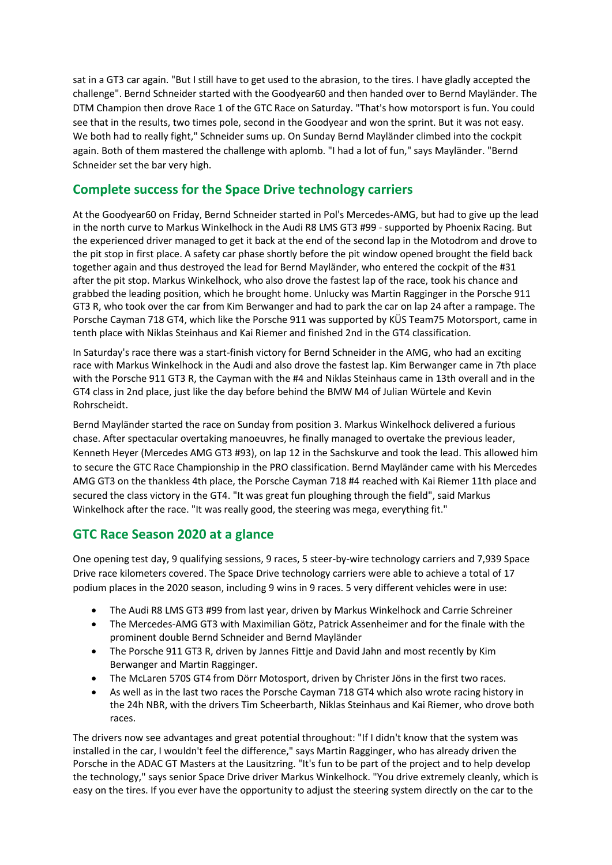sat in a GT3 car again. "But I still have to get used to the abrasion, to the tires. I have gladly accepted the challenge". Bernd Schneider started with the Goodyear60 and then handed over to Bernd Mayländer. The DTM Champion then drove Race 1 of the GTC Race on Saturday. "That's how motorsport is fun. You could see that in the results, two times pole, second in the Goodyear and won the sprint. But it was not easy. We both had to really fight," Schneider sums up. On Sunday Bernd Mayländer climbed into the cockpit again. Both of them mastered the challenge with aplomb. "I had a lot of fun," says Mayländer. "Bernd Schneider set the bar very high.

## **Complete success for the Space Drive technology carriers**

At the Goodyear60 on Friday, Bernd Schneider started in Pol's Mercedes-AMG, but had to give up the lead in the north curve to Markus Winkelhock in the Audi R8 LMS GT3 #99 - supported by Phoenix Racing. But the experienced driver managed to get it back at the end of the second lap in the Motodrom and drove to the pit stop in first place. A safety car phase shortly before the pit window opened brought the field back together again and thus destroyed the lead for Bernd Mayländer, who entered the cockpit of the #31 after the pit stop. Markus Winkelhock, who also drove the fastest lap of the race, took his chance and grabbed the leading position, which he brought home. Unlucky was Martin Ragginger in the Porsche 911 GT3 R, who took over the car from Kim Berwanger and had to park the car on lap 24 after a rampage. The Porsche Cayman 718 GT4, which like the Porsche 911 was supported by KÜS Team75 Motorsport, came in tenth place with Niklas Steinhaus and Kai Riemer and finished 2nd in the GT4 classification.

In Saturday's race there was a start-finish victory for Bernd Schneider in the AMG, who had an exciting race with Markus Winkelhock in the Audi and also drove the fastest lap. Kim Berwanger came in 7th place with the Porsche 911 GT3 R, the Cayman with the #4 and Niklas Steinhaus came in 13th overall and in the GT4 class in 2nd place, just like the day before behind the BMW M4 of Julian Würtele and Kevin Rohrscheidt.

Bernd Mayländer started the race on Sunday from position 3. Markus Winkelhock delivered a furious chase. After spectacular overtaking manoeuvres, he finally managed to overtake the previous leader, Kenneth Heyer (Mercedes AMG GT3 #93), on lap 12 in the Sachskurve and took the lead. This allowed him to secure the GTC Race Championship in the PRO classification. Bernd Mayländer came with his Mercedes AMG GT3 on the thankless 4th place, the Porsche Cayman 718 #4 reached with Kai Riemer 11th place and secured the class victory in the GT4. "It was great fun ploughing through the field", said Markus Winkelhock after the race. "It was really good, the steering was mega, everything fit."

## **GTC Race Season 2020 at a glance**

One opening test day, 9 qualifying sessions, 9 races, 5 steer-by-wire technology carriers and 7,939 Space Drive race kilometers covered. The Space Drive technology carriers were able to achieve a total of 17 podium places in the 2020 season, including 9 wins in 9 races. 5 very different vehicles were in use:

- The Audi R8 LMS GT3 #99 from last year, driven by Markus Winkelhock and Carrie Schreiner
- The Mercedes-AMG GT3 with Maximilian Götz, Patrick Assenheimer and for the finale with the prominent double Bernd Schneider and Bernd Mayländer
- The Porsche 911 GT3 R, driven by Jannes Fittje and David Jahn and most recently by Kim Berwanger and Martin Ragginger.
- The McLaren 570S GT4 from Dörr Motosport, driven by Christer Jöns in the first two races.
- As well as in the last two races the Porsche Cayman 718 GT4 which also wrote racing history in the 24h NBR, with the drivers Tim Scheerbarth, Niklas Steinhaus and Kai Riemer, who drove both races.

The drivers now see advantages and great potential throughout: "If I didn't know that the system was installed in the car, I wouldn't feel the difference," says Martin Ragginger, who has already driven the Porsche in the ADAC GT Masters at the Lausitzring. "It's fun to be part of the project and to help develop the technology," says senior Space Drive driver Markus Winkelhock. "You drive extremely cleanly, which is easy on the tires. If you ever have the opportunity to adjust the steering system directly on the car to the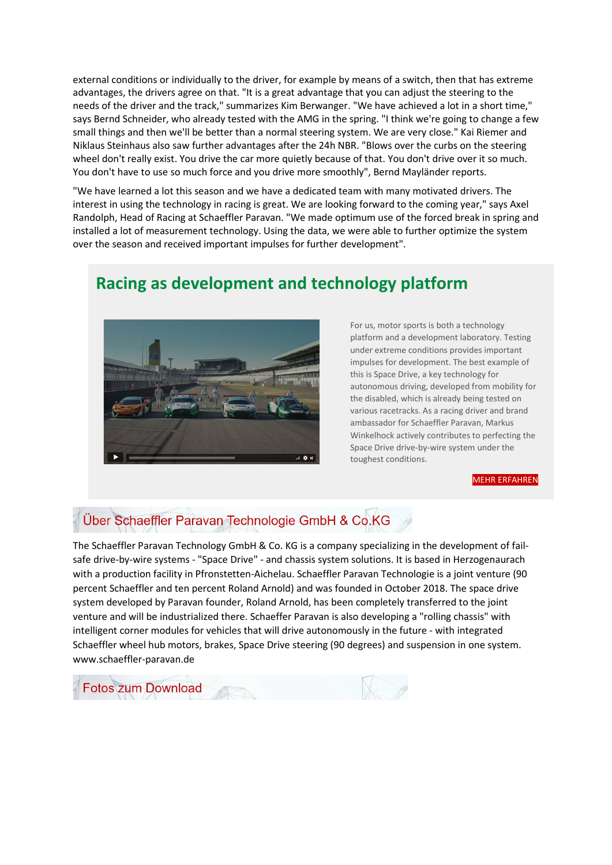external conditions or individually to the driver, for example by means of a switch, then that has extreme advantages, the drivers agree on that. "It is a great advantage that you can adjust the steering to the needs of the driver and the track," summarizes Kim Berwanger. "We have achieved a lot in a short time," says Bernd Schneider, who already tested with the AMG in the spring. "I think we're going to change a few small things and then we'll be better than a normal steering system. We are very close." Kai Riemer and Niklaus Steinhaus also saw further advantages after the 24h NBR. "Blows over the curbs on the steering wheel don't really exist. You drive the car more quietly because of that. You don't drive over it so much. You don't have to use so much force and you drive more smoothly", Bernd Mayländer reports.

"We have learned a lot this season and we have a dedicated team with many motivated drivers. The interest in using the technology in racing is great. We are looking forward to the coming year," says Axel Randolph, Head of Racing at Schaeffler Paravan. "We made optimum use of the forced break in spring and installed a lot of measurement technology. Using the data, we were able to further optimize the system over the season and received important impulses for further development".

# **Racing as development and technology platform**



For us, motor sports is both a technology platform and a development laboratory. Testing under extreme conditions provides important impulses for development. The best example of this is Space Drive, a key technology for autonomous driving, developed from mobility for the disabled, which is already being tested on various racetracks. As a racing driver and brand ambassador for Schaeffler Paravan, Markus Winkelhock actively contributes to perfecting the Space Drive drive-by-wire system under the toughest conditions.

#### [MEHR ERFAHREN](https://215732.seu2.cleverreach.com/c/52585844/61c38ce53dd-1fqim4t)

## Über Schaeffler Paravan Technologie GmbH & Co.KG

The Schaeffler Paravan Technology GmbH & Co. KG is a company specializing in the development of failsafe drive-by-wire systems - "Space Drive" - and chassis system solutions. It is based in Herzogenaurach with a production facility in Pfronstetten-Aichelau. Schaeffler Paravan Technologie is a joint venture (90 percent Schaeffler and ten percent Roland Arnold) and was founded in October 2018. The space drive system developed by Paravan founder, Roland Arnold, has been completely transferred to the joint venture and will be industrialized there. Schaeffer Paravan is also developing a "rolling chassis" with intelligent corner modules for vehicles that will drive autonomously in the future - with integrated Schaeffler wheel hub motors, brakes, Space Drive steering (90 degrees) and suspension in one system. www.schaeffler-paravan.de

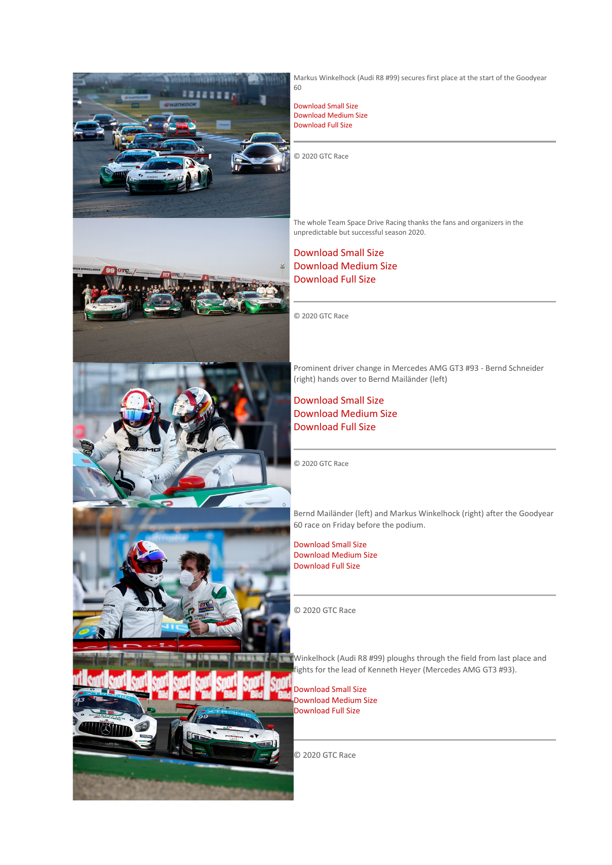









Markus Winkelhock (Audi R8 #99) secures first place at the start of the Goodyear 60

[Download Small Size](https://215732.seu2.cleverreach.com/c/52594121/61c38ce53dd-1fqim4t) [Download Medium Size](https://215732.seu2.cleverreach.com/c/52594122/61c38ce53dd-1fqim4t) [Download Full Size](https://215732.seu2.cleverreach.com/c/52594123/61c38ce53dd-1fqim4t)

© 2020 GTC Race

The whole Team Space Drive Racing thanks the fans and organizers in the unpredictable but successful season 2020.

#### [Download Small Size](https://215732.seu2.cleverreach.com/c/52594124/61c38ce53dd-1fqim4t) [Download Medium Size](https://215732.seu2.cleverreach.com/c/52594125/61c38ce53dd-1fqim4t) [Download Full Size](https://215732.seu2.cleverreach.com/c/52594126/61c38ce53dd-1fqim4t)

© 2020 GTC Race

Prominent driver change in Mercedes AMG GT3 #93 - Bernd Schneider (right) hands over to Bernd Mailänder (left)

[Download Small Size](https://215732.seu2.cleverreach.com/c/52594127/61c38ce53dd-1fqim4t) [Download Medium Size](https://215732.seu2.cleverreach.com/c/52594127/61c38ce53dd-1fqim4t) [Download Full Size](https://215732.seu2.cleverreach.com/c/52594128/61c38ce53dd-1fqim4t)

© 2020 GTC Race

Bernd Mailänder (left) and Markus Winkelhock (right) after the Goodyear 60 race on Friday before the podium.

[Download Small Size](https://215732.seu2.cleverreach.com/c/52594129/61c38ce53dd-1fqim4t) [Download Medium Size](https://215732.seu2.cleverreach.com/c/52594130/61c38ce53dd-1fqim4t) [Download Full Size](https://215732.seu2.cleverreach.com/c/52594130/61c38ce53dd-1fqim4t)

© 2020 GTC Race

Winkelhock (Audi R8 #99) ploughs through the field from last place and fights for the lead of Kenneth Heyer (Mercedes AMG GT3 #93).

[Download Small Size](https://215732.seu2.cleverreach.com/c/52594131/61c38ce53dd-1fqim4t) [Download Medium Size](https://215732.seu2.cleverreach.com/c/52594132/61c38ce53dd-1fqim4t) [Download Full Size](https://215732.seu2.cleverreach.com/c/52594133/61c38ce53dd-1fqim4t)

© 2020 GTC Race